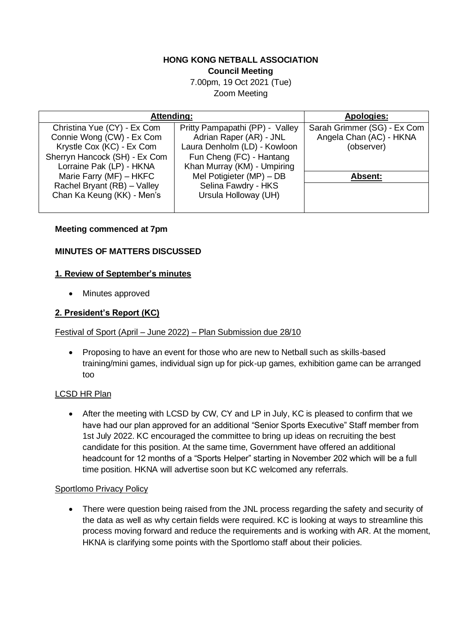#### **HONG KONG NETBALL ASSOCIATION Council Meeting**

7.00pm, 19 Oct 2021 (Tue) Zoom Meeting

| Attending:                    |                                 | <b>Apologies:</b>           |
|-------------------------------|---------------------------------|-----------------------------|
| Christina Yue (CY) - Ex Com   | Pritty Pampapathi (PP) - Valley | Sarah Grimmer (SG) - Ex Com |
| Connie Wong (CW) - Ex Com     | Adrian Raper (AR) - JNL         | Angela Chan (AC) - HKNA     |
| Krystle Cox (KC) - Ex Com     | Laura Denholm (LD) - Kowloon    | (observer)                  |
| Sherryn Hancock (SH) - Ex Com | Fun Cheng (FC) - Hantang        |                             |
| Lorraine Pak (LP) - HKNA      | Khan Murray (KM) - Umpiring     |                             |
| Marie Farry (MF) - HKFC       | Mel Potigieter (MP) - DB        | Absent:                     |
| Rachel Bryant (RB) - Valley   | Selina Fawdry - HKS             |                             |
| Chan Ka Keung (KK) - Men's    | Ursula Holloway (UH)            |                             |
|                               |                                 |                             |

#### **Meeting commenced at 7pm**

#### **MINUTES OF MATTERS DISCUSSED**

#### **1. Review of September's minutes**

• Minutes approved

## **2. President's Report (KC)**

#### Festival of Sport (April – June 2022) – Plan Submission due 28/10

• Proposing to have an event for those who are new to Netball such as skills-based training/mini games, individual sign up for pick-up games, exhibition game can be arranged too

#### LCSD HR Plan

• After the meeting with LCSD by CW, CY and LP in July, KC is pleased to confirm that we have had our plan approved for an additional "Senior Sports Executive" Staff member from 1st July 2022. KC encouraged the committee to bring up ideas on recruiting the best candidate for this position. At the same time, Government have offered an additional headcount for 12 months of a "Sports Helper" starting in November 202 which will be a full time position. HKNA will advertise soon but KC welcomed any referrals.

#### Sportlomo Privacy Policy

• There were question being raised from the JNL process regarding the safety and security of the data as well as why certain fields were required. KC is looking at ways to streamline this process moving forward and reduce the requirements and is working with AR. At the moment, HKNA is clarifying some points with the Sportlomo staff about their policies.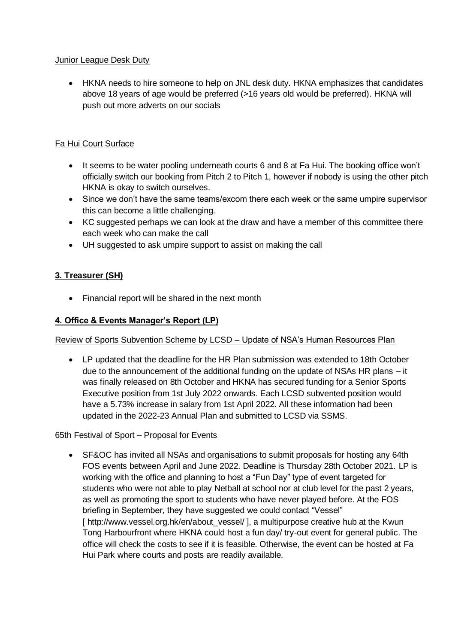#### Junior League Desk Duty

• HKNA needs to hire someone to help on JNL desk duty. HKNA emphasizes that candidates above 18 years of age would be preferred (>16 years old would be preferred). HKNA will push out more adverts on our socials

## Fa Hui Court Surface

- It seems to be water pooling underneath courts 6 and 8 at Fa Hui. The booking office won't officially switch our booking from Pitch 2 to Pitch 1, however if nobody is using the other pitch HKNA is okay to switch ourselves.
- Since we don't have the same teams/excom there each week or the same umpire supervisor this can become a little challenging.
- KC suggested perhaps we can look at the draw and have a member of this committee there each week who can make the call
- UH suggested to ask umpire support to assist on making the call

## **3. Treasurer (SH)**

• Financial report will be shared in the next month

## **4. Office & Events Manager's Report (LP)**

## Review of Sports Subvention Scheme by LCSD – Update of NSA's Human Resources Plan

• LP updated that the deadline for the HR Plan submission was extended to 18th October due to the announcement of the additional funding on the update of NSAs HR plans – it was finally released on 8th October and HKNA has secured funding for a Senior Sports Executive position from 1st July 2022 onwards. Each LCSD subvented position would have a 5.73% increase in salary from 1st April 2022. All these information had been updated in the 2022-23 Annual Plan and submitted to LCSD via SSMS.

## 65th Festival of Sport – Proposal for Events

• SF&OC has invited all NSAs and organisations to submit proposals for hosting any 64th FOS events between April and June 2022. Deadline is Thursday 28th October 2021. LP is working with the office and planning to host a "Fun Day" type of event targeted for students who were not able to play Netball at school nor at club level for the past 2 years, as well as promoting the sport to students who have never played before. At the FOS briefing in September, they have suggested we could contact "Vessel" [ http://www.vessel.org.hk/en/about\_vessel/ ], a multipurpose creative hub at the Kwun Tong Harbourfront where HKNA could host a fun day/ try-out event for general public. The office will check the costs to see if it is feasible. Otherwise, the event can be hosted at Fa Hui Park where courts and posts are readily available.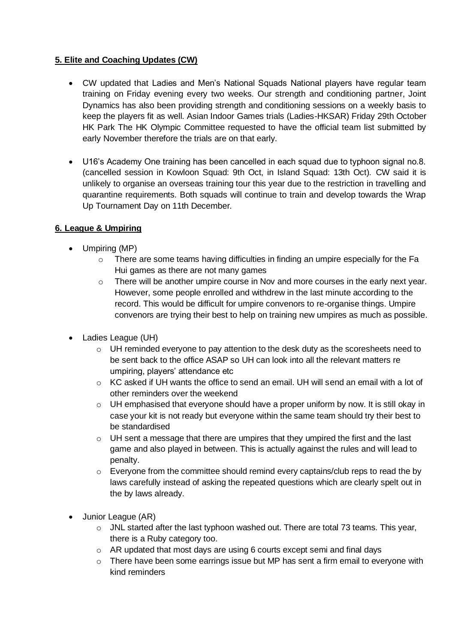## **5. Elite and Coaching Updates (CW)**

- CW updated that Ladies and Men's National Squads National players have regular team training on Friday evening every two weeks. Our strength and conditioning partner, Joint Dynamics has also been providing strength and conditioning sessions on a weekly basis to keep the players fit as well. Asian Indoor Games trials (Ladies-HKSAR) Friday 29th October HK Park The HK Olympic Committee requested to have the official team list submitted by early November therefore the trials are on that early.
- U16's Academy One training has been cancelled in each squad due to typhoon signal no.8. (cancelled session in Kowloon Squad: 9th Oct, in Island Squad: 13th Oct). CW said it is unlikely to organise an overseas training tour this year due to the restriction in travelling and quarantine requirements. Both squads will continue to train and develop towards the Wrap Up Tournament Day on 11th December.

## **6. League & Umpiring**

- Umpiring (MP)
	- $\circ$  There are some teams having difficulties in finding an umpire especially for the Fa Hui games as there are not many games
	- $\circ$  There will be another umpire course in Nov and more courses in the early next year. However, some people enrolled and withdrew in the last minute according to the record. This would be difficult for umpire convenors to re-organise things. Umpire convenors are trying their best to help on training new umpires as much as possible.
- Ladies League (UH)
	- $\circ$  UH reminded everyone to pay attention to the desk duty as the scoresheets need to be sent back to the office ASAP so UH can look into all the relevant matters re umpiring, players' attendance etc
	- $\circ$  KC asked if UH wants the office to send an email. UH will send an email with a lot of other reminders over the weekend
	- o UH emphasised that everyone should have a proper uniform by now. It is still okay in case your kit is not ready but everyone within the same team should try their best to be standardised
	- $\circ$  UH sent a message that there are umpires that they umpired the first and the last game and also played in between. This is actually against the rules and will lead to penalty.
	- o Everyone from the committee should remind every captains/club reps to read the by laws carefully instead of asking the repeated questions which are clearly spelt out in the by laws already.
- Junior League (AR)
	- $\circ$  JNL started after the last typhoon washed out. There are total 73 teams. This year, there is a Ruby category too.
	- o AR updated that most days are using 6 courts except semi and final days
	- o There have been some earrings issue but MP has sent a firm email to everyone with kind reminders